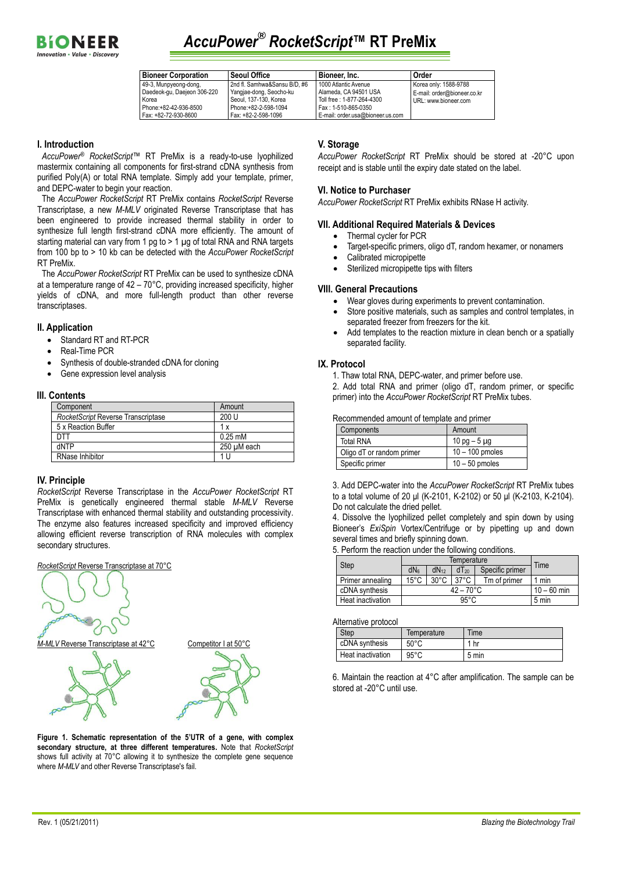

## *AccuPower***®** *RocketScript***™ RT PreMix**

| <b>Bioneer Corporation</b>  | <b>Seoul Office</b>          | Bioneer, Inc.                    | Order                       |
|-----------------------------|------------------------------|----------------------------------|-----------------------------|
| 49-3, Munpyeong-dong,       | 2nd fl. Samhwa&Sansu B/D, #6 | 1000 Atlantic Avenue             | Korea only: 1588-9788       |
| Daedeok-gu, Daejeon 306-220 | Yangjae-dong, Seocho-ku      | Alameda, CA 94501 USA            | E-mail: order@bioneer.co.kr |
| Korea                       | Seoul, 137-130, Korea        | Toll free: 1-877-264-4300        | URL: www.bioneer.com        |
| Phone:+82-42-936-8500       | Phone:+82-2-598-1094         | Fax: 1-510-865-0350              |                             |
| Fax: +82-72-930-8600        | Fax: +82-2-598-1096          | E-mail: order.usa@bioneer.us.com |                             |

### **I. Introduction**

*AccuPower*® *RocketScript*™ RT PreMix is a ready-to-use lyophilized mastermix containing all components for first-strand cDNA synthesis from purified Poly(A) or total RNA template. Simply add your template, primer, and DEPC-water to begin your reaction.

The *AccuPower RocketScript* RT PreMix contains *RocketScript* Reverse Transcriptase, a new *M-MLV* originated Reverse Transcriptase that has been engineered to provide increased thermal stability in order to synthesize full length first-strand cDNA more efficiently. The amount of starting material can vary from 1 pg to > 1 µg of total RNA and RNA targets from 100 bp to > 10 kb can be detected with the *AccuPower RocketScript* RT PreMix.

The *AccuPower RocketScript* RT PreMix can be used to synthesize cDNA at a temperature range of 42 – 70°C, providing increased specificity, higher yields of cDNA, and more full-length product than other reverse transcriptases.

#### **II. Application**

- Standard RT and RT-PCR
- Real-Time PCR
- Synthesis of double-stranded cDNA for cloning
- Gene expression level analysis

#### **III. Contents**

| Component                          | Amount            |
|------------------------------------|-------------------|
| RocketScript Reverse Transcriptase | 200 U             |
| 5 x Reaction Buffer                | 1 x               |
| דר                                 | $0.25 \text{ mM}$ |
| dNTP                               | 250 uM each       |
| <b>RNase Inhibitor</b>             | 11                |

#### **IV. Principle**

*RocketScript* Reverse Transcriptase in the *AccuPower RocketScript* RT PreMix is genetically engineered thermal stable *M-MLV* Reverse Transcriptase with enhanced thermal stability and outstanding processivity. The enzyme also features increased specificity and improved efficiency allowing efficient reverse transcription of RNA molecules with complex secondary structures.



**Figure 1. Schematic representation of the 5'UTR of a gene, with complex secondary structure, at three different temperatures.** Note that *RocketScript* shows full activity at 70°C allowing it to synthesize the complete gene sequence where *M-MLV* and other Reverse Transcriptase's fail.

#### **V. Storage**

*AccuPower RocketScript* RT PreMix should be stored at -20°C upon receipt and is stable until the expiry date stated on the label.

#### **VI. Notice to Purchaser**

*AccuPower RocketScript* RT PreMix exhibits RNase H activity.

#### **VII. Additional Required Materials & Devices**

- Thermal cycler for PCR
- Target-specific primers, oligo dT, random hexamer, or nonamers
- Calibrated micropipette
- Sterilized micropipette tips with filters

### **VIII. General Precautions**

- Wear gloves during experiments to prevent contamination.
- Store positive materials, such as samples and control templates, in separated freezer from freezers for the kit.
- Add templates to the reaction mixture in clean bench or a spatially separated facility.

#### **IX. Protocol**

1. Thaw total RNA, DEPC-water, and primer before use.

2. Add total RNA and primer (oligo dT, random primer, or specific primer) into the *AccuPower RocketScript* RT PreMix tubes.

#### Recommended amount of template and primer

| Components                | Amount            |
|---------------------------|-------------------|
| Total RNA                 | 10 pg $-5 \mu$ g  |
| Oligo dT or random primer | $10 - 100$ pmoles |
| Specific primer           | $10 - 50$ pmoles  |

3. Add DEPC-water into the *AccuPower RocketScript* RT PreMix tubes to a total volume of 20 μl (K-2101, K-2102) or 50 μl (K-2103, K-2104). Do not calculate the dried pellet.

4. Dissolve the lyophilized pellet completely and spin down by using Bioneer's *ExiSpin* Vortex/Centrifuge or by pipetting up and down several times and briefly spinning down.

5. Perform the reaction under the following conditions.

| Step              | Temperature         |                |                | Time            |       |
|-------------------|---------------------|----------------|----------------|-----------------|-------|
|                   | dN <sub>6</sub>     | $dN_{12}$      | $dT_{20}$      | Specific primer |       |
| Primer annealing  | $15^{\circ}$ C      | $30^{\circ}$ C | $37^{\circ}$ C | Tm of primer    | 1 min |
| cDNA synthesis    | $42 - 70^{\circ}$ C |                | $10 - 60$ min  |                 |       |
| Heat inactivation | $95^{\circ}$ C      |                | 5 min          |                 |       |

#### Alternative protocol

| <b>Step</b>       | Temperature    | Time  |
|-------------------|----------------|-------|
| cDNA synthesis    | $50^{\circ}$ C | hr    |
| Heat inactivation | $95^{\circ}$ C | 5 min |

6. Maintain the reaction at 4°C after amplification. The sample can be stored at -20°C until use.